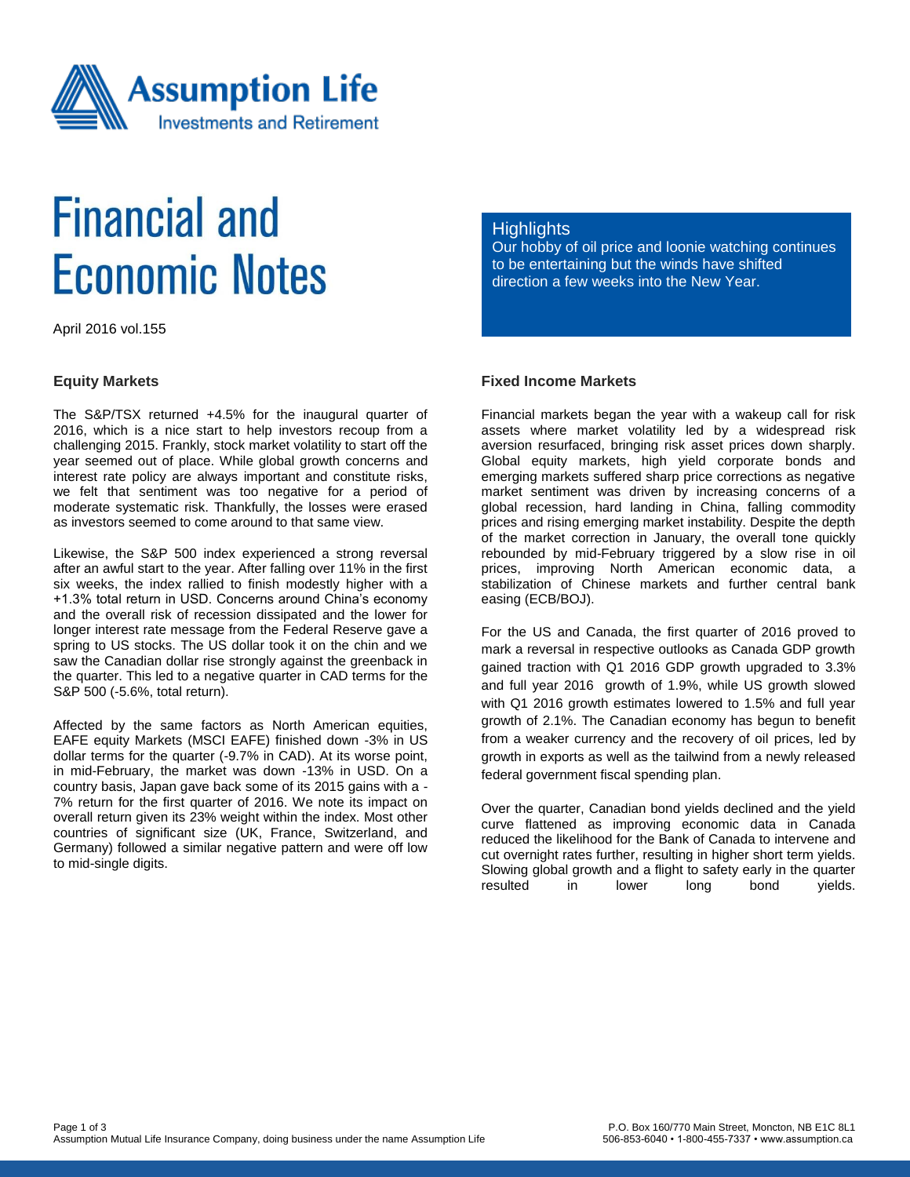

# **Financial and Economic Notes**

April 2016 vol.155

#### **Equity Markets**

The S&P/TSX returned +4.5% for the inaugural quarter of 2016, which is a nice start to help investors recoup from a challenging 2015. Frankly, stock market volatility to start off the year seemed out of place. While global growth concerns and interest rate policy are always important and constitute risks, we felt that sentiment was too negative for a period of moderate systematic risk. Thankfully, the losses were erased as investors seemed to come around to that same view.

Likewise, the S&P 500 index experienced a strong reversal after an awful start to the year. After falling over 11% in the first six weeks, the index rallied to finish modestly higher with a +1.3% total return in USD. Concerns around China's economy and the overall risk of recession dissipated and the lower for longer interest rate message from the Federal Reserve gave a spring to US stocks. The US dollar took it on the chin and we saw the Canadian dollar rise strongly against the greenback in the quarter. This led to a negative quarter in CAD terms for the S&P 500 (-5.6%, total return).

Affected by the same factors as North American equities, EAFE equity Markets (MSCI EAFE) finished down -3% in US dollar terms for the quarter (-9.7% in CAD). At its worse point, in mid-February, the market was down -13% in USD. On a country basis, Japan gave back some of its 2015 gains with a - 7% return for the first quarter of 2016. We note its impact on overall return given its 23% weight within the index. Most other countries of significant size (UK, France, Switzerland, and Germany) followed a similar negative pattern and were off low to mid-single digits.

#### **Highlights**

Our hobby of oil price and loonie watching continues to be entertaining but the winds have shifted direction a few weeks into the New Year.

### **Fixed Income Markets**

Financial markets began the year with a wakeup call for risk assets where market volatility led by a widespread risk aversion resurfaced, bringing risk asset prices down sharply. Global equity markets, high yield corporate bonds and emerging markets suffered sharp price corrections as negative market sentiment was driven by increasing concerns of a global recession, hard landing in China, falling commodity prices and rising emerging market instability. Despite the depth of the market correction in January, the overall tone quickly rebounded by mid-February triggered by a slow rise in oil prices, improving North American economic data, a stabilization of Chinese markets and further central bank easing (ECB/BOJ).

For the US and Canada, the first quarter of 2016 proved to mark a reversal in respective outlooks as Canada GDP growth gained traction with Q1 2016 GDP growth upgraded to 3.3% and full year 2016 growth of 1.9%, while US growth slowed with Q1 2016 growth estimates lowered to 1.5% and full year growth of 2.1%. The Canadian economy has begun to benefit from a weaker currency and the recovery of oil prices, led by growth in exports as well as the tailwind from a newly released federal government fiscal spending plan.

Over the quarter, Canadian bond yields declined and the yield curve flattened as improving economic data in Canada reduced the likelihood for the Bank of Canada to intervene and cut overnight rates further, resulting in higher short term yields. Slowing global growth and a flight to safety early in the quarter resulted in lower long bond yields.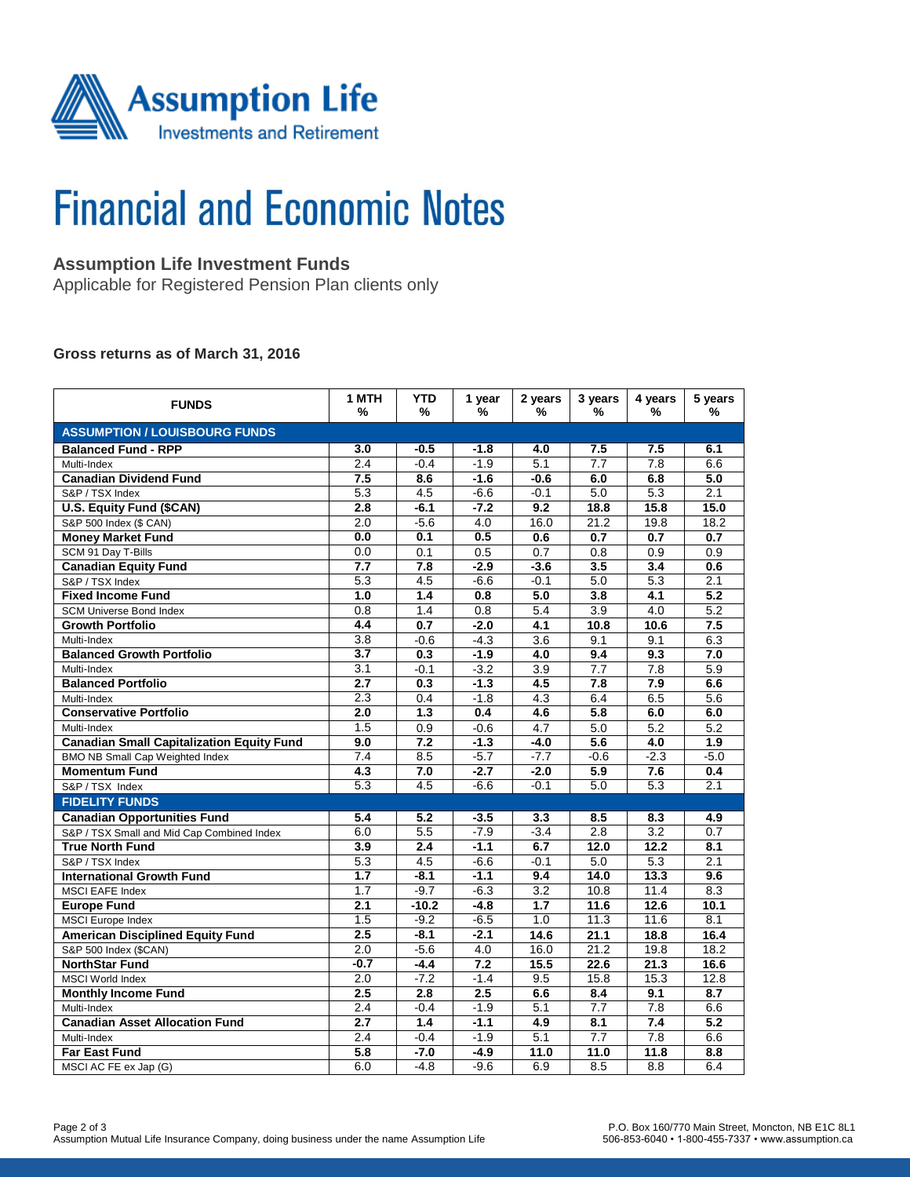

# **Financial and Economic Notes**

## **Assumption Life Investment Funds**

Applicable for Registered Pension Plan clients only

#### **Gross returns as of March 31, 2016**

| <b>FUNDS</b>                                     | 1 MTH<br>%       | <b>YTD</b><br>%  | 1 year<br>% | 2 years<br>% | 3 years<br>%     | 4 years<br>%      | 5 years<br>%     |  |  |  |  |
|--------------------------------------------------|------------------|------------------|-------------|--------------|------------------|-------------------|------------------|--|--|--|--|
| <b>ASSUMPTION / LOUISBOURG FUNDS</b>             |                  |                  |             |              |                  |                   |                  |  |  |  |  |
| <b>Balanced Fund - RPP</b>                       | 3.0              | $-0.5$           | $-1.8$      | 4.0          | 7.5              | 7.5               | 6.1              |  |  |  |  |
| Multi-Index                                      | 2.4              | $-0.4$           | $-1.9$      | 5.1          | 7.7              | 7.8               | 6.6              |  |  |  |  |
| <b>Canadian Dividend Fund</b>                    | 7.5              | 8.6              | $-1.6$      | $-0.6$       | 6.0              | 6.8               | 5.0              |  |  |  |  |
| S&P / TSX Index                                  | 5.3              | 4.5              | $-6.6$      | $-0.1$       | 5.0              | 5.3               | 2.1              |  |  |  |  |
| U.S. Equity Fund (\$CAN)                         | 2.8              | $-6.1$           | $-7.2$      | 9.2          | 18.8             | 15.8              | 15.0             |  |  |  |  |
| S&P 500 Index (\$ CAN)                           | 2.0              | $-5.6$           | 4.0         | 16.0         | 21.2             | 19.8              | 18.2             |  |  |  |  |
| <b>Money Market Fund</b>                         | 0.0              | 0.1              | 0.5         | 0.6          | 0.7              | 0.7               | 0.7              |  |  |  |  |
| SCM 91 Day T-Bills                               | 0.0              | 0.1              | 0.5         | 0.7          | 0.8              | 0.9               | 0.9              |  |  |  |  |
| <b>Canadian Equity Fund</b>                      | 7.7              | 7.8              | $-2.9$      | $-3.6$       | 3.5              | 3.4               | 0.6              |  |  |  |  |
| S&P / TSX Index                                  | 5.3              | 4.5              | $-6.6$      | $-0.1$       | 5.0              | 5.3               | 2.1              |  |  |  |  |
| <b>Fixed Income Fund</b>                         | 1.0              | $\overline{1.4}$ | 0.8         | 5.0          | 3.8              | $\overline{4.1}$  | $\overline{5.2}$ |  |  |  |  |
| <b>SCM Universe Bond Index</b>                   | 0.8              | 1.4              | 0.8         | 5.4          | $\overline{3.9}$ | 4.0               | 5.2              |  |  |  |  |
| <b>Growth Portfolio</b>                          | 4.4              | 0.7              | $-2.0$      | 4.1          | 10.8             | 10.6              | 7.5              |  |  |  |  |
| Multi-Index                                      | 3.8              | $-0.6$           | $-4.3$      | 3.6          | 9.1              | 9.1               | 6.3              |  |  |  |  |
| <b>Balanced Growth Portfolio</b>                 | 3.7              | 0.3              | $-1.9$      | 4.0          | 9.4              | 9.3               | 7.0              |  |  |  |  |
| Multi-Index                                      | 3.1              | $-0.1$           | $-3.2$      | 3.9          | $\overline{7.7}$ | 7.8               | 5.9              |  |  |  |  |
| <b>Balanced Portfolio</b>                        | 2.7              | 0.3              | $-1.3$      | 4.5          | 7.8              | 7.9               | 6.6              |  |  |  |  |
| Multi-Index                                      | 2.3              | 0.4              | $-1.8$      | 4.3          | 6.4              | 6.5               | 5.6              |  |  |  |  |
| <b>Conservative Portfolio</b>                    | 2.0              | 1.3              | 0.4         | 4.6          | 5.8              | 6.0               | 6.0              |  |  |  |  |
| Multi-Index                                      | 1.5              | 0.9              | $-0.6$      | 4.7          | 5.0              | 5.2               | 5.2              |  |  |  |  |
| <b>Canadian Small Capitalization Equity Fund</b> | 9.0              | 7.2              | $-1.3$      | $-4.0$       | 5.6              | 4.0               | 1.9              |  |  |  |  |
| <b>BMO NB Small Cap Weighted Index</b>           | $\overline{7.4}$ | 8.5              | $-5.7$      | $-7.7$       | $-0.6$           | $-2.3$            | $-5.0$           |  |  |  |  |
| <b>Momentum Fund</b>                             | 4.3              | 7.0              | $-2.7$      | $-2.0$       | 5.9              | 7.6               | 0.4              |  |  |  |  |
| S&P / TSX Index                                  | 5.3              | 4.5              | $-6.6$      | $-0.1$       | 5.0              | 5.3               | 2.1              |  |  |  |  |
| <b>FIDELITY FUNDS</b>                            |                  |                  |             |              |                  |                   |                  |  |  |  |  |
| <b>Canadian Opportunities Fund</b>               | 5.4              | 5.2              | $-3.5$      | 3.3          | 8.5              | 8.3               | 4.9              |  |  |  |  |
| S&P / TSX Small and Mid Cap Combined Index       | 6.0              | 5.5              | $-7.9$      | $-3.4$       | 2.8              | $\overline{3.2}$  | 0.7              |  |  |  |  |
| <b>True North Fund</b>                           | 3.9              | 2.4              | $-1.1$      | 6.7          | 12.0             | 12.2              | 8.1              |  |  |  |  |
| S&P / TSX Index                                  | 5.3              | 4.5              | $-6.6$      | $-0.1$       | 5.0              | 5.3               | 2.1              |  |  |  |  |
| <b>International Growth Fund</b>                 | $\overline{1.7}$ | $-8.1$           | $-1.1$      | 9.4          | 14.0             | 13.3              | 9.6              |  |  |  |  |
| <b>MSCI EAFE Index</b>                           | 1.7              | $-9.7$           | $-6.3$      | 3.2          | 10.8             | 11.4              | 8.3              |  |  |  |  |
| <b>Europe Fund</b>                               | 2.1              | $-10.2$          | $-4.8$      | 1.7          | 11.6             | 12.6              | 10.1             |  |  |  |  |
| <b>MSCI</b> Europe Index                         | 1.5              | $-9.2$           | $-6.5$      | 1.0          | 11.3             | 11.6              | 8.1              |  |  |  |  |
| <b>American Disciplined Equity Fund</b>          | 2.5              | $-8.1$           | $-2.1$      | 14.6         | 21.1             | 18.8              | 16.4             |  |  |  |  |
| S&P 500 Index (\$CAN)                            | 2.0              | $-5.6$           | 4.0         | 16.0         | 21.2             | 19.8              | 18.2             |  |  |  |  |
| <b>NorthStar Fund</b>                            | $-0.7$           | $-4.4$           | 7.2         | 15.5         | 22.6             | $\overline{21.3}$ | 16.6             |  |  |  |  |
| <b>MSCI World Index</b>                          | 2.0              | $-7.2$           | $-1.4$      | 9.5          | 15.8             | 15.3              | 12.8             |  |  |  |  |
| <b>Monthly Income Fund</b>                       | 2.5              | 2.8              | 2.5         | 6.6          | 8.4              | 9.1               | 8.7              |  |  |  |  |
| Multi-Index                                      | 2.4              | $-0.4$           | $-1.9$      | 5.1          | 7.7              | 7.8               | 6.6              |  |  |  |  |
| <b>Canadian Asset Allocation Fund</b>            | $\overline{2.7}$ | $\overline{1.4}$ | $-1.1$      | 4.9          | $\overline{8.1}$ | 7.4               | $\overline{5.2}$ |  |  |  |  |
| Multi-Index                                      | 2.4              | $-0.4$           | $-1.9$      | 5.1          | 7.7              | 7.8               | 6.6              |  |  |  |  |
| <b>Far East Fund</b>                             | 5.8              | $-7.0$           | $-4.9$      | 11.0         | 11.0             | 11.8              | 8.8              |  |  |  |  |
| MSCI AC FE ex Jap (G)                            | 6.0              | $-4.8$           | $-9.6$      | 6.9          | 8.5              | 8.8               | 6.4              |  |  |  |  |